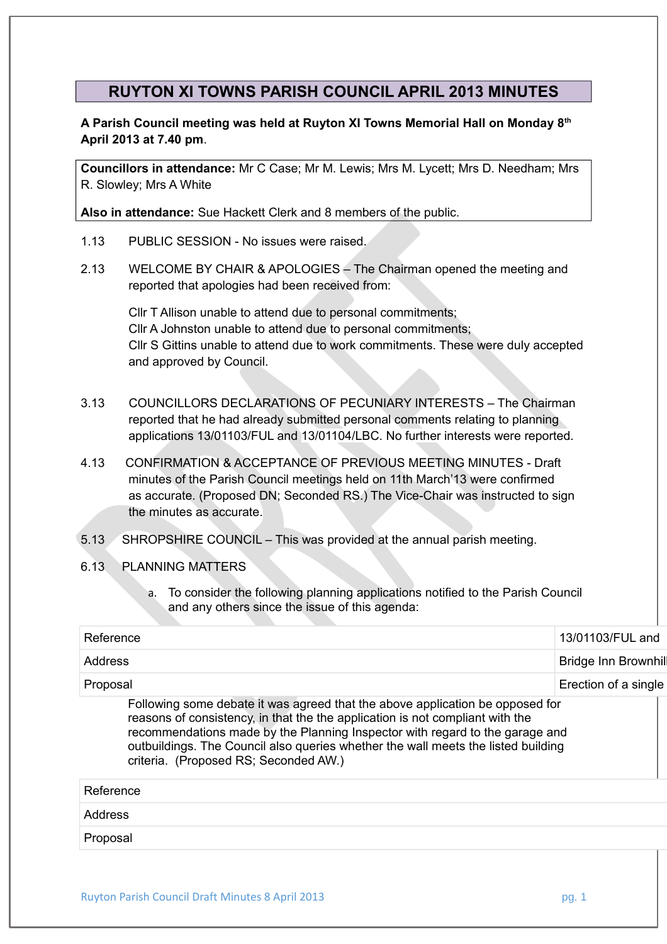# **RUYTON XI TOWNS PARISH COUNCIL APRIL 2013 MINUTES**

# **A Parish Council meeting was held at Ruyton XI Towns Memorial Hall on Monday 8th April 2013 at 7.40 pm**.

**Councillors in attendance:** Mr C Case; Mr M. Lewis; Mrs M. Lycett; Mrs D. Needham; Mrs R. Slowley; Mrs A White

**Also in attendance:** Sue Hackett Clerk and 8 members of the public.

- 1.13 PUBLIC SESSION No issues were raised.
- 2.13 WELCOME BY CHAIR & APOLOGIES The Chairman opened the meeting and reported that apologies had been received from:

Cllr T Allison unable to attend due to personal commitments; Cllr A Johnston unable to attend due to personal commitments; Cllr S Gittins unable to attend due to work commitments. These were duly accepted and approved by Council.

- 3.13 COUNCILLORS DECLARATIONS OF PECUNIARY INTERESTS The Chairman reported that he had already submitted personal comments relating to planning applications 13/01103/FUL and 13/01104/LBC. No further interests were reported.
- 4.13 CONFIRMATION & ACCEPTANCE OF PREVIOUS MEETING MINUTES Draft minutes of the Parish Council meetings held on 11th March'13 were confirmed as accurate. (Proposed DN; Seconded RS.) The Vice-Chair was instructed to sign the minutes as accurate.
- 5.13 SHROPSHIRE COUNCIL This was provided at the annual parish meeting.

## 6.13 PLANNING MATTERS

a. To consider the following planning applications notified to the Parish Council and any others since the issue of this agenda:

| Reference                                                                                                                                                                                                                                                                                                                                                                    | 13/01103/FUL and            |
|------------------------------------------------------------------------------------------------------------------------------------------------------------------------------------------------------------------------------------------------------------------------------------------------------------------------------------------------------------------------------|-----------------------------|
| Address                                                                                                                                                                                                                                                                                                                                                                      | <b>Bridge Inn Brownhill</b> |
| Proposal                                                                                                                                                                                                                                                                                                                                                                     | Erection of a single        |
| Following some debate it was agreed that the above application be opposed for<br>reasons of consistency, in that the the application is not compliant with the<br>recommendations made by the Planning Inspector with regard to the garage and<br>outbuildings. The Council also queries whether the wall meets the listed building<br>criteria. (Proposed RS; Seconded AW.) |                             |

| Reference |
|-----------|
| Address   |
| Proposal  |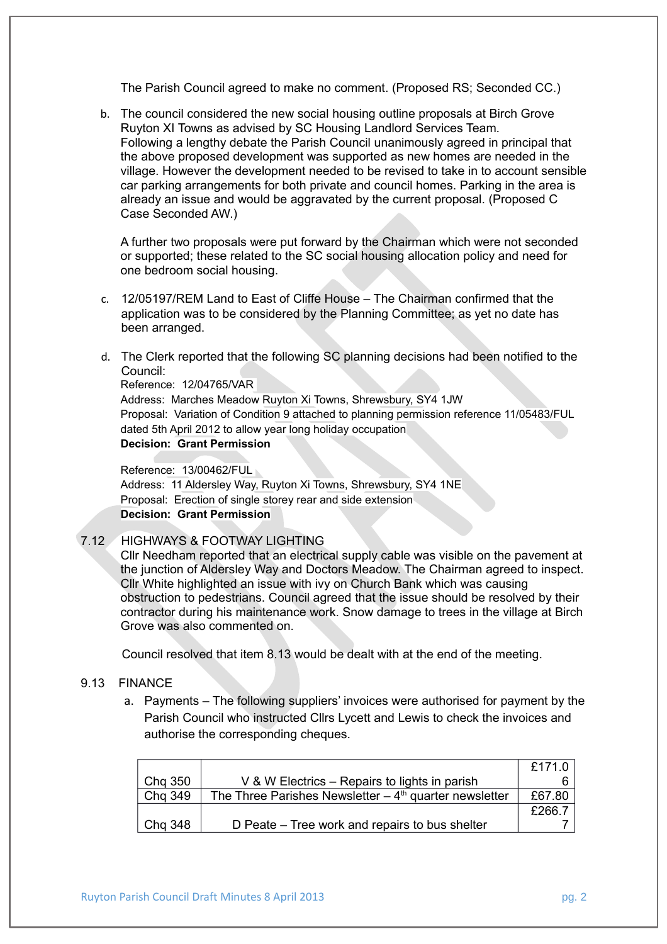The Parish Council agreed to make no comment. (Proposed RS; Seconded CC.)

b. The council considered the new social housing outline proposals at Birch Grove Ruyton XI Towns as advised by SC Housing Landlord Services Team. Following a lengthy debate the Parish Council unanimously agreed in principal that the above proposed development was supported as new homes are needed in the village. However the development needed to be revised to take in to account sensible car parking arrangements for both private and council homes. Parking in the area is already an issue and would be aggravated by the current proposal. (Proposed C Case Seconded AW.)

A further two proposals were put forward by the Chairman which were not seconded or supported; these related to the SC social housing allocation policy and need for one bedroom social housing.

- c. 12/05197/REM Land to East of Cliffe House The Chairman confirmed that the application was to be considered by the Planning Committee; as yet no date has been arranged.
- d. The Clerk reported that the following SC planning decisions had been notified to the Council:

Reference: 12/04765/VAR Address: Marches Meadow Ruyton Xi Towns, Shrewsbury, SY4 1JW Proposal: Variation of Condition 9 attached to planning permission reference 11/05483/FUL dated 5th April 2012 to allow year long holiday occupation **Decision: Grant Permission**

Reference: 13/00462/FUL Address: 11 Aldersley Way, Ruyton Xi Towns, Shrewsbury, SY4 1NE Proposal: Erection of single storey rear and side extension **Decision: Grant Permission**

#### 7.12 HIGHWAYS & FOOTWAY LIGHTING

Cllr Needham reported that an electrical supply cable was visible on the pavement at the junction of Aldersley Way and Doctors Meadow. The Chairman agreed to inspect. Cllr White highlighted an issue with ivy on Church Bank which was causing obstruction to pedestrians. Council agreed that the issue should be resolved by their contractor during his maintenance work. Snow damage to trees in the village at Birch Grove was also commented on.

Council resolved that item 8.13 would be dealt with at the end of the meeting.

#### 9.13 FINANCE

a. Payments – The following suppliers' invoices were authorised for payment by the Parish Council who instructed Cllrs Lycett and Lewis to check the invoices and authorise the corresponding cheques.

|                |                                                         | £171.0 |
|----------------|---------------------------------------------------------|--------|
| Chg 350        | $V$ & W Electrics – Repairs to lights in parish         |        |
| Chg 349        | The Three Parishes Newsletter $-4th$ quarter newsletter | £67.80 |
|                |                                                         | £266.7 |
| <b>Chg 348</b> | D Peate – Tree work and repairs to bus shelter          |        |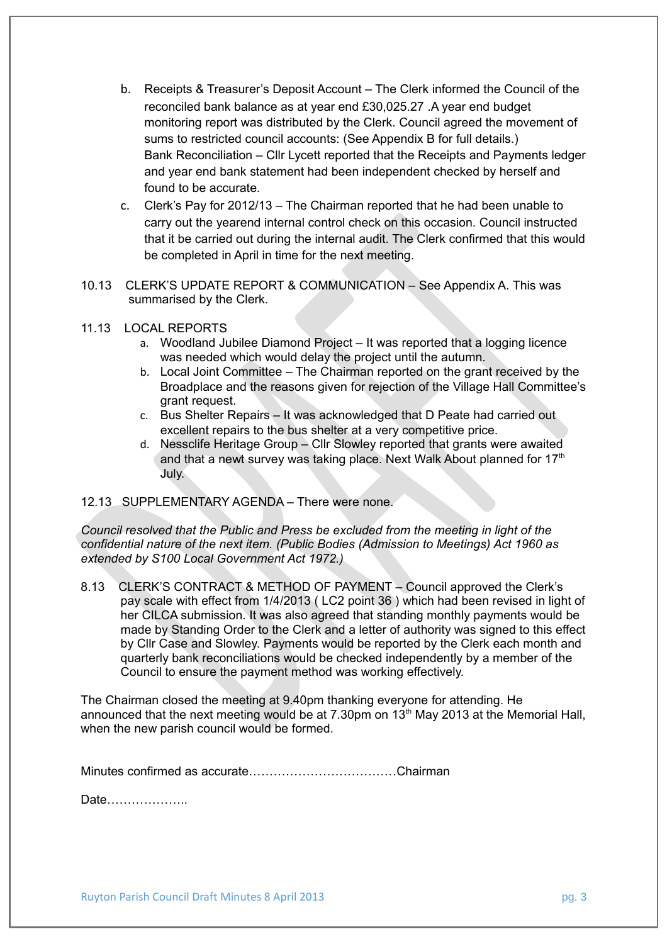- b. Receipts & Treasurer's Deposit Account The Clerk informed the Council of the reconciled bank balance as at year end £30,025.27 .A year end budget monitoring report was distributed by the Clerk. Council agreed the movement of sums to restricted council accounts: (See Appendix B for full details.) Bank Reconciliation – Cllr Lycett reported that the Receipts and Payments ledger and year end bank statement had been independent checked by herself and found to be accurate.
- c. Clerk's Pay for 2012/13 The Chairman reported that he had been unable to carry out the yearend internal control check on this occasion. Council instructed that it be carried out during the internal audit. The Clerk confirmed that this would be completed in April in time for the next meeting.
- 10.13 CLERK'S UPDATE REPORT & COMMUNICATION See Appendix A. This was summarised by the Clerk.
- 11.13 LOCAL REPORTS
	- a. Woodland Jubilee Diamond Project It was reported that a logging licence was needed which would delay the project until the autumn.
	- b. Local Joint Committee The Chairman reported on the grant received by the Broadplace and the reasons given for rejection of the Village Hall Committee's grant request.
	- c. Bus Shelter Repairs It was acknowledged that D Peate had carried out excellent repairs to the bus shelter at a very competitive price.
	- d. Nessclife Heritage Group Cllr Slowley reported that grants were awaited and that a newt survey was taking place. Next Walk About planned for  $17<sup>th</sup>$ July.

### 12.13 SUPPLEMENTARY AGENDA – There were none.

*Council resolved that the Public and Press be excluded from the meeting in light of the confidential nature of the next item. (Public Bodies (Admission to Meetings) Act 1960 as extended by S100 Local Government Act 1972.)*

8.13 CLERK'S CONTRACT & METHOD OF PAYMENT – Council approved the Clerk's pay scale with effect from 1/4/2013 ( LC2 point 36 ) which had been revised in light of her CILCA submission. It was also agreed that standing monthly payments would be made by Standing Order to the Clerk and a letter of authority was signed to this effect by Cllr Case and Slowley. Payments would be reported by the Clerk each month and quarterly bank reconciliations would be checked independently by a member of the Council to ensure the payment method was working effectively.

The Chairman closed the meeting at 9.40pm thanking everyone for attending. He announced that the next meeting would be at  $7.30$ pm on  $13<sup>th</sup>$  May 2013 at the Memorial Hall, when the new parish council would be formed.

|--|--|--|--|--|

Date………………..